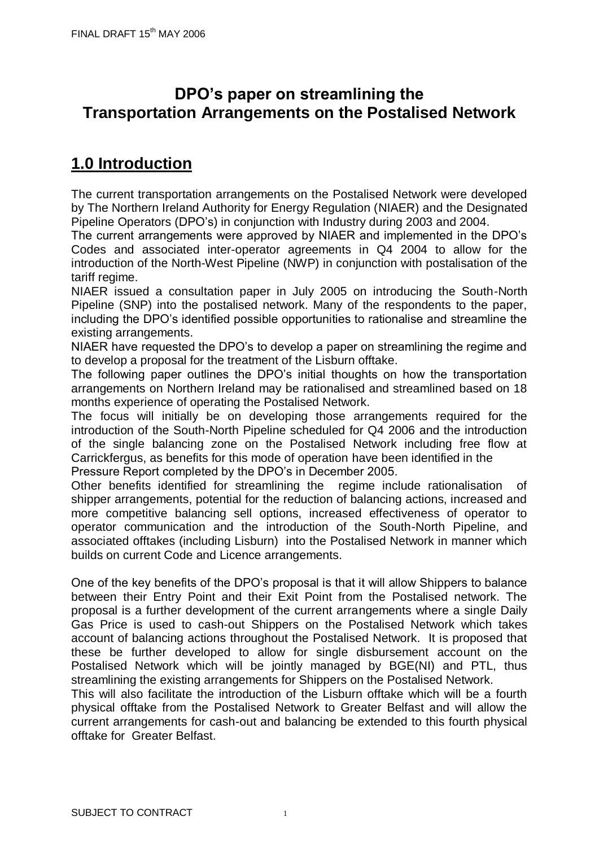## **DPO's paper on streamlining the Transportation Arrangements on the Postalised Network**

# **1.0 Introduction**

The current transportation arrangements on the Postalised Network were developed by The Northern Ireland Authority for Energy Regulation (NIAER) and the Designated Pipeline Operators (DPO's) in conjunction with Industry during 2003 and 2004.

The current arrangements were approved by NIAER and implemented in the DPO's Codes and associated inter-operator agreements in Q4 2004 to allow for the introduction of the North-West Pipeline (NWP) in conjunction with postalisation of the tariff regime.

NIAER issued a consultation paper in July 2005 on introducing the South-North Pipeline (SNP) into the postalised network. Many of the respondents to the paper, including the DPO's identified possible opportunities to rationalise and streamline the existing arrangements.

NIAER have requested the DPO's to develop a paper on streamlining the regime and to develop a proposal for the treatment of the Lisburn offtake.

The following paper outlines the DPO's initial thoughts on how the transportation arrangements on Northern Ireland may be rationalised and streamlined based on 18 months experience of operating the Postalised Network.

The focus will initially be on developing those arrangements required for the introduction of the South-North Pipeline scheduled for Q4 2006 and the introduction of the single balancing zone on the Postalised Network including free flow at Carrickfergus, as benefits for this mode of operation have been identified in the Pressure Report completed by the DPO's in December 2005.

Other benefits identified for streamlining the regime include rationalisation of shipper arrangements, potential for the reduction of balancing actions, increased and more competitive balancing sell options, increased effectiveness of operator to operator communication and the introduction of the South-North Pipeline, and associated offtakes (including Lisburn) into the Postalised Network in manner which builds on current Code and Licence arrangements.

One of the key benefits of the DPO's proposal is that it will allow Shippers to balance between their Entry Point and their Exit Point from the Postalised network. The proposal is a further development of the current arrangements where a single Daily Gas Price is used to cash-out Shippers on the Postalised Network which takes account of balancing actions throughout the Postalised Network. It is proposed that these be further developed to allow for single disbursement account on the Postalised Network which will be jointly managed by BGE(NI) and PTL, thus streamlining the existing arrangements for Shippers on the Postalised Network.

This will also facilitate the introduction of the Lisburn offtake which will be a fourth physical offtake from the Postalised Network to Greater Belfast and will allow the current arrangements for cash-out and balancing be extended to this fourth physical offtake for Greater Belfast.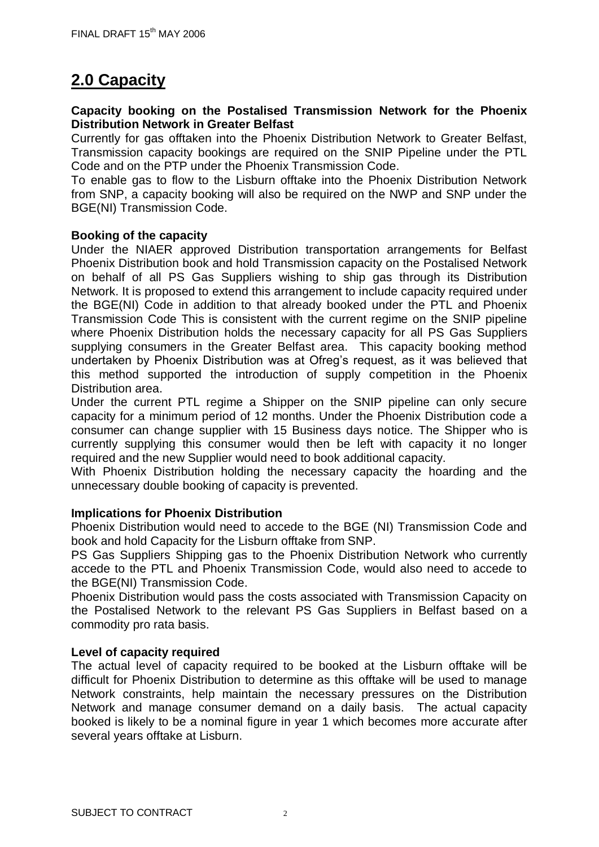# **2.0 Capacity**

### **Capacity booking on the Postalised Transmission Network for the Phoenix Distribution Network in Greater Belfast**

Currently for gas offtaken into the Phoenix Distribution Network to Greater Belfast, Transmission capacity bookings are required on the SNIP Pipeline under the PTL Code and on the PTP under the Phoenix Transmission Code.

To enable gas to flow to the Lisburn offtake into the Phoenix Distribution Network from SNP, a capacity booking will also be required on the NWP and SNP under the BGE(NI) Transmission Code.

### **Booking of the capacity**

Under the NIAER approved Distribution transportation arrangements for Belfast Phoenix Distribution book and hold Transmission capacity on the Postalised Network on behalf of all PS Gas Suppliers wishing to ship gas through its Distribution Network. It is proposed to extend this arrangement to include capacity required under the BGE(NI) Code in addition to that already booked under the PTL and Phoenix Transmission Code This is consistent with the current regime on the SNIP pipeline where Phoenix Distribution holds the necessary capacity for all PS Gas Suppliers supplying consumers in the Greater Belfast area. This capacity booking method undertaken by Phoenix Distribution was at Ofreg's request, as it was believed that this method supported the introduction of supply competition in the Phoenix Distribution area.

Under the current PTL regime a Shipper on the SNIP pipeline can only secure capacity for a minimum period of 12 months. Under the Phoenix Distribution code a consumer can change supplier with 15 Business days notice. The Shipper who is currently supplying this consumer would then be left with capacity it no longer required and the new Supplier would need to book additional capacity.

With Phoenix Distribution holding the necessary capacity the hoarding and the unnecessary double booking of capacity is prevented.

#### **Implications for Phoenix Distribution**

Phoenix Distribution would need to accede to the BGE (NI) Transmission Code and book and hold Capacity for the Lisburn offtake from SNP.

PS Gas Suppliers Shipping gas to the Phoenix Distribution Network who currently accede to the PTL and Phoenix Transmission Code, would also need to accede to the BGE(NI) Transmission Code.

Phoenix Distribution would pass the costs associated with Transmission Capacity on the Postalised Network to the relevant PS Gas Suppliers in Belfast based on a commodity pro rata basis.

### **Level of capacity required**

The actual level of capacity required to be booked at the Lisburn offtake will be difficult for Phoenix Distribution to determine as this offtake will be used to manage Network constraints, help maintain the necessary pressures on the Distribution Network and manage consumer demand on a daily basis. The actual capacity booked is likely to be a nominal figure in year 1 which becomes more accurate after several years offtake at Lisburn.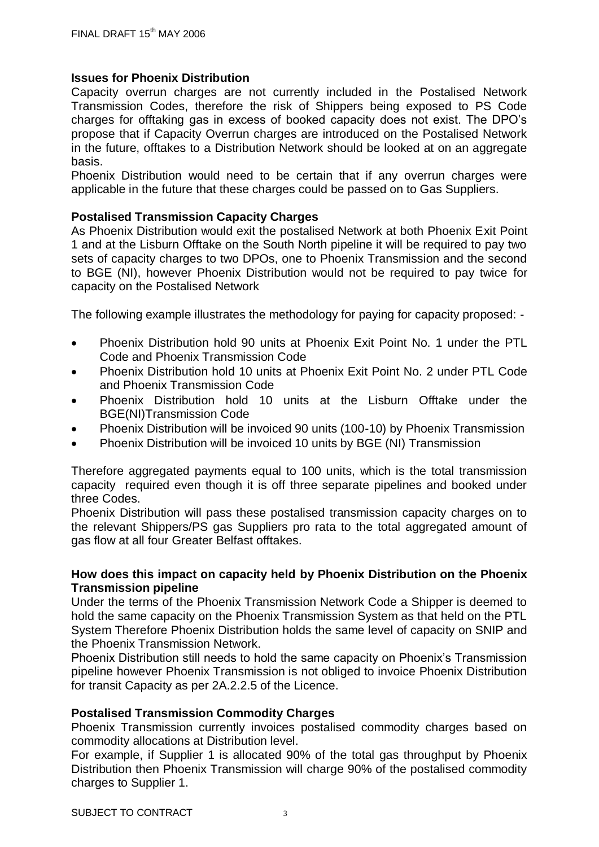### **Issues for Phoenix Distribution**

Capacity overrun charges are not currently included in the Postalised Network Transmission Codes, therefore the risk of Shippers being exposed to PS Code charges for offtaking gas in excess of booked capacity does not exist. The DPO's propose that if Capacity Overrun charges are introduced on the Postalised Network in the future, offtakes to a Distribution Network should be looked at on an aggregate basis.

Phoenix Distribution would need to be certain that if any overrun charges were applicable in the future that these charges could be passed on to Gas Suppliers.

### **Postalised Transmission Capacity Charges**

As Phoenix Distribution would exit the postalised Network at both Phoenix Exit Point 1 and at the Lisburn Offtake on the South North pipeline it will be required to pay two sets of capacity charges to two DPOs, one to Phoenix Transmission and the second to BGE (NI), however Phoenix Distribution would not be required to pay twice for capacity on the Postalised Network

The following example illustrates the methodology for paying for capacity proposed: -

- Phoenix Distribution hold 90 units at Phoenix Exit Point No. 1 under the PTL Code and Phoenix Transmission Code
- Phoenix Distribution hold 10 units at Phoenix Exit Point No. 2 under PTL Code and Phoenix Transmission Code
- Phoenix Distribution hold 10 units at the Lisburn Offtake under the BGE(NI)Transmission Code
- Phoenix Distribution will be invoiced 90 units (100-10) by Phoenix Transmission
- Phoenix Distribution will be invoiced 10 units by BGE (NI) Transmission

Therefore aggregated payments equal to 100 units, which is the total transmission capacity required even though it is off three separate pipelines and booked under three Codes.

Phoenix Distribution will pass these postalised transmission capacity charges on to the relevant Shippers/PS gas Suppliers pro rata to the total aggregated amount of gas flow at all four Greater Belfast offtakes.

### **How does this impact on capacity held by Phoenix Distribution on the Phoenix Transmission pipeline**

Under the terms of the Phoenix Transmission Network Code a Shipper is deemed to hold the same capacity on the Phoenix Transmission System as that held on the PTL System Therefore Phoenix Distribution holds the same level of capacity on SNIP and the Phoenix Transmission Network.

Phoenix Distribution still needs to hold the same capacity on Phoenix's Transmission pipeline however Phoenix Transmission is not obliged to invoice Phoenix Distribution for transit Capacity as per 2A.2.2.5 of the Licence.

### **Postalised Transmission Commodity Charges**

Phoenix Transmission currently invoices postalised commodity charges based on commodity allocations at Distribution level.

For example, if Supplier 1 is allocated 90% of the total gas throughput by Phoenix Distribution then Phoenix Transmission will charge 90% of the postalised commodity charges to Supplier 1.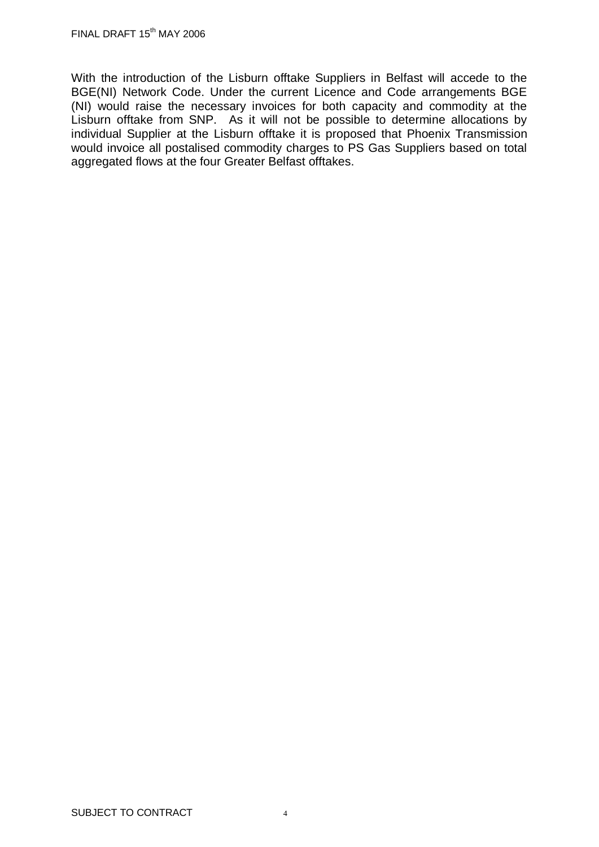With the introduction of the Lisburn offtake Suppliers in Belfast will accede to the BGE(NI) Network Code. Under the current Licence and Code arrangements BGE (NI) would raise the necessary invoices for both capacity and commodity at the Lisburn offtake from SNP. As it will not be possible to determine allocations by individual Supplier at the Lisburn offtake it is proposed that Phoenix Transmission would invoice all postalised commodity charges to PS Gas Suppliers based on total aggregated flows at the four Greater Belfast offtakes.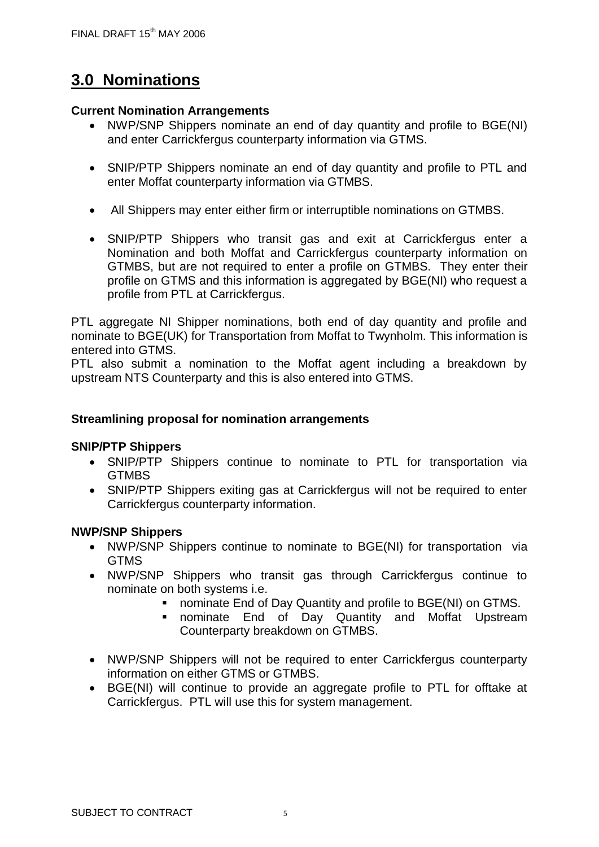# **3.0 Nominations**

### **Current Nomination Arrangements**

- NWP/SNP Shippers nominate an end of day quantity and profile to BGE(NI) and enter Carrickfergus counterparty information via GTMS.
- SNIP/PTP Shippers nominate an end of day quantity and profile to PTL and enter Moffat counterparty information via GTMBS.
- All Shippers may enter either firm or interruptible nominations on GTMBS.
- SNIP/PTP Shippers who transit gas and exit at Carrickfergus enter a Nomination and both Moffat and Carrickfergus counterparty information on GTMBS, but are not required to enter a profile on GTMBS. They enter their profile on GTMS and this information is aggregated by BGE(NI) who request a profile from PTL at Carrickfergus.

PTL aggregate NI Shipper nominations, both end of day quantity and profile and nominate to BGE(UK) for Transportation from Moffat to Twynholm. This information is entered into GTMS.

PTL also submit a nomination to the Moffat agent including a breakdown by upstream NTS Counterparty and this is also entered into GTMS.

### **Streamlining proposal for nomination arrangements**

### **SNIP/PTP Shippers**

- SNIP/PTP Shippers continue to nominate to PTL for transportation via **GTMBS**
- SNIP/PTP Shippers exiting gas at Carrickfergus will not be required to enter Carrickfergus counterparty information.

### **NWP/SNP Shippers**

- NWP/SNP Shippers continue to nominate to BGE(NI) for transportation via GTMS
- NWP/SNP Shippers who transit gas through Carrickfergus continue to nominate on both systems i.e.
	- nominate End of Day Quantity and profile to BGE(NI) on GTMS.
	- nominate End of Day Quantity and Moffat Upstream Counterparty breakdown on GTMBS.
- NWP/SNP Shippers will not be required to enter Carrickfergus counterparty information on either GTMS or GTMBS.
- BGE(NI) will continue to provide an aggregate profile to PTL for offtake at Carrickfergus. PTL will use this for system management.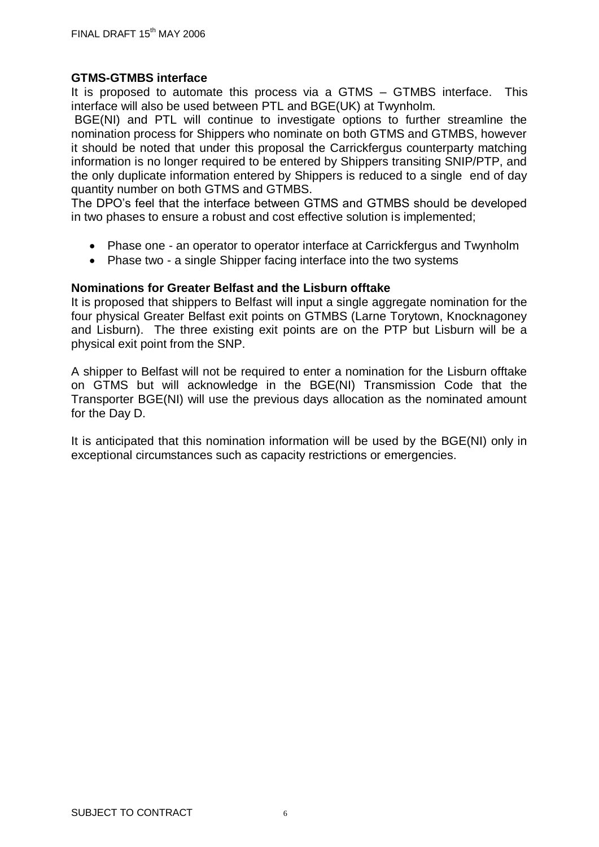### **GTMS-GTMBS interface**

It is proposed to automate this process via a GTMS – GTMBS interface. This interface will also be used between PTL and BGE(UK) at Twynholm.

BGE(NI) and PTL will continue to investigate options to further streamline the nomination process for Shippers who nominate on both GTMS and GTMBS, however it should be noted that under this proposal the Carrickfergus counterparty matching information is no longer required to be entered by Shippers transiting SNIP/PTP, and the only duplicate information entered by Shippers is reduced to a single end of day quantity number on both GTMS and GTMBS.

The DPO's feel that the interface between GTMS and GTMBS should be developed in two phases to ensure a robust and cost effective solution is implemented;

- Phase one an operator to operator interface at Carrickfergus and Twynholm
- Phase two a single Shipper facing interface into the two systems

### **Nominations for Greater Belfast and the Lisburn offtake**

It is proposed that shippers to Belfast will input a single aggregate nomination for the four physical Greater Belfast exit points on GTMBS (Larne Torytown, Knocknagoney and Lisburn). The three existing exit points are on the PTP but Lisburn will be a physical exit point from the SNP.

A shipper to Belfast will not be required to enter a nomination for the Lisburn offtake on GTMS but will acknowledge in the BGE(NI) Transmission Code that the Transporter BGE(NI) will use the previous days allocation as the nominated amount for the Day D.

It is anticipated that this nomination information will be used by the BGE(NI) only in exceptional circumstances such as capacity restrictions or emergencies.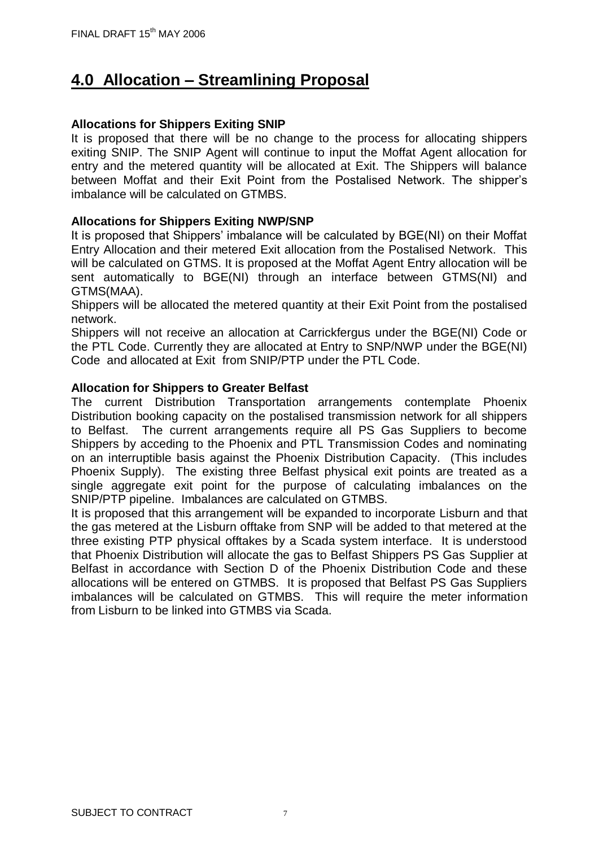## **4.0 Allocation – Streamlining Proposal**

### **Allocations for Shippers Exiting SNIP**

It is proposed that there will be no change to the process for allocating shippers exiting SNIP. The SNIP Agent will continue to input the Moffat Agent allocation for entry and the metered quantity will be allocated at Exit. The Shippers will balance between Moffat and their Exit Point from the Postalised Network. The shipper's imbalance will be calculated on GTMBS.

### **Allocations for Shippers Exiting NWP/SNP**

It is proposed that Shippers' imbalance will be calculated by BGE(NI) on their Moffat Entry Allocation and their metered Exit allocation from the Postalised Network. This will be calculated on GTMS. It is proposed at the Moffat Agent Entry allocation will be sent automatically to BGE(NI) through an interface between GTMS(NI) and GTMS(MAA).

Shippers will be allocated the metered quantity at their Exit Point from the postalised network.

Shippers will not receive an allocation at Carrickfergus under the BGE(NI) Code or the PTL Code. Currently they are allocated at Entry to SNP/NWP under the BGE(NI) Code and allocated at Exit from SNIP/PTP under the PTL Code.

### **Allocation for Shippers to Greater Belfast**

The current Distribution Transportation arrangements contemplate Phoenix Distribution booking capacity on the postalised transmission network for all shippers to Belfast. The current arrangements require all PS Gas Suppliers to become Shippers by acceding to the Phoenix and PTL Transmission Codes and nominating on an interruptible basis against the Phoenix Distribution Capacity. (This includes Phoenix Supply). The existing three Belfast physical exit points are treated as a single aggregate exit point for the purpose of calculating imbalances on the SNIP/PTP pipeline. Imbalances are calculated on GTMBS.

It is proposed that this arrangement will be expanded to incorporate Lisburn and that the gas metered at the Lisburn offtake from SNP will be added to that metered at the three existing PTP physical offtakes by a Scada system interface. It is understood that Phoenix Distribution will allocate the gas to Belfast Shippers PS Gas Supplier at Belfast in accordance with Section D of the Phoenix Distribution Code and these allocations will be entered on GTMBS. It is proposed that Belfast PS Gas Suppliers imbalances will be calculated on GTMBS. This will require the meter information from Lisburn to be linked into GTMBS via Scada.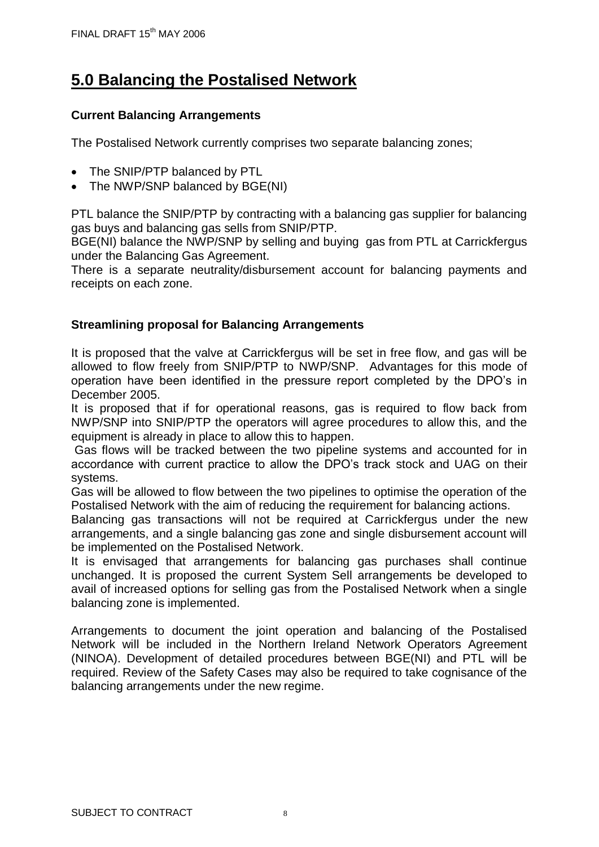# **5.0 Balancing the Postalised Network**

### **Current Balancing Arrangements**

The Postalised Network currently comprises two separate balancing zones;

- The SNIP/PTP balanced by PTL
- The NWP/SNP balanced by BGE(NI)

PTL balance the SNIP/PTP by contracting with a balancing gas supplier for balancing gas buys and balancing gas sells from SNIP/PTP.

BGE(NI) balance the NWP/SNP by selling and buying gas from PTL at Carrickfergus under the Balancing Gas Agreement.

There is a separate neutrality/disbursement account for balancing payments and receipts on each zone.

### **Streamlining proposal for Balancing Arrangements**

It is proposed that the valve at Carrickfergus will be set in free flow, and gas will be allowed to flow freely from SNIP/PTP to NWP/SNP. Advantages for this mode of operation have been identified in the pressure report completed by the DPO's in December 2005.

It is proposed that if for operational reasons, gas is required to flow back from NWP/SNP into SNIP/PTP the operators will agree procedures to allow this, and the equipment is already in place to allow this to happen.

Gas flows will be tracked between the two pipeline systems and accounted for in accordance with current practice to allow the DPO's track stock and UAG on their systems.

Gas will be allowed to flow between the two pipelines to optimise the operation of the Postalised Network with the aim of reducing the requirement for balancing actions.

Balancing gas transactions will not be required at Carrickfergus under the new arrangements, and a single balancing gas zone and single disbursement account will be implemented on the Postalised Network.

It is envisaged that arrangements for balancing gas purchases shall continue unchanged. It is proposed the current System Sell arrangements be developed to avail of increased options for selling gas from the Postalised Network when a single balancing zone is implemented.

Arrangements to document the joint operation and balancing of the Postalised Network will be included in the Northern Ireland Network Operators Agreement (NINOA). Development of detailed procedures between BGE(NI) and PTL will be required. Review of the Safety Cases may also be required to take cognisance of the balancing arrangements under the new regime.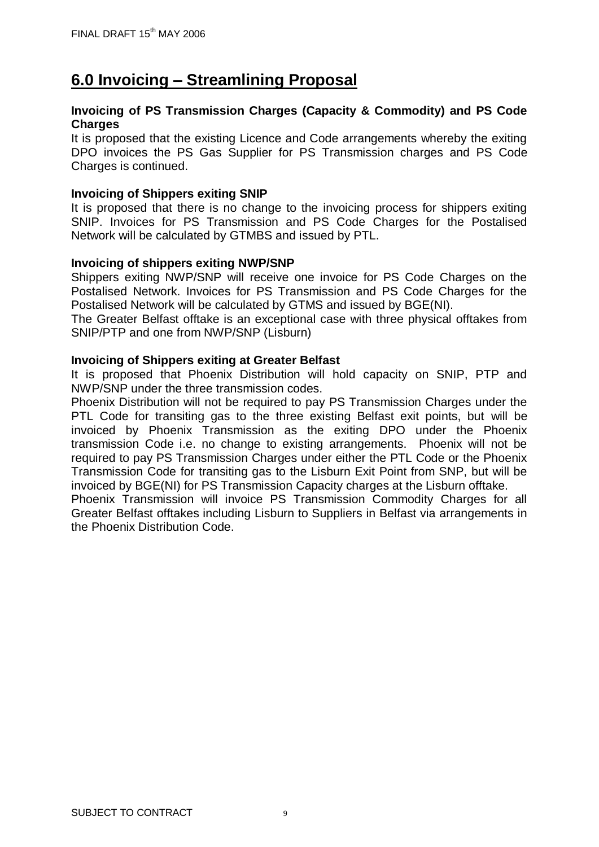## **6.0 Invoicing – Streamlining Proposal**

### **Invoicing of PS Transmission Charges (Capacity & Commodity) and PS Code Charges**

It is proposed that the existing Licence and Code arrangements whereby the exiting DPO invoices the PS Gas Supplier for PS Transmission charges and PS Code Charges is continued.

### **Invoicing of Shippers exiting SNIP**

It is proposed that there is no change to the invoicing process for shippers exiting SNIP. Invoices for PS Transmission and PS Code Charges for the Postalised Network will be calculated by GTMBS and issued by PTL.

### **Invoicing of shippers exiting NWP/SNP**

Shippers exiting NWP/SNP will receive one invoice for PS Code Charges on the Postalised Network. Invoices for PS Transmission and PS Code Charges for the Postalised Network will be calculated by GTMS and issued by BGE(NI).

The Greater Belfast offtake is an exceptional case with three physical offtakes from SNIP/PTP and one from NWP/SNP (Lisburn)

### **Invoicing of Shippers exiting at Greater Belfast**

It is proposed that Phoenix Distribution will hold capacity on SNIP, PTP and NWP/SNP under the three transmission codes.

Phoenix Distribution will not be required to pay PS Transmission Charges under the PTL Code for transiting gas to the three existing Belfast exit points, but will be invoiced by Phoenix Transmission as the exiting DPO under the Phoenix transmission Code i.e. no change to existing arrangements. Phoenix will not be required to pay PS Transmission Charges under either the PTL Code or the Phoenix Transmission Code for transiting gas to the Lisburn Exit Point from SNP, but will be invoiced by BGE(NI) for PS Transmission Capacity charges at the Lisburn offtake.

Phoenix Transmission will invoice PS Transmission Commodity Charges for all Greater Belfast offtakes including Lisburn to Suppliers in Belfast via arrangements in the Phoenix Distribution Code.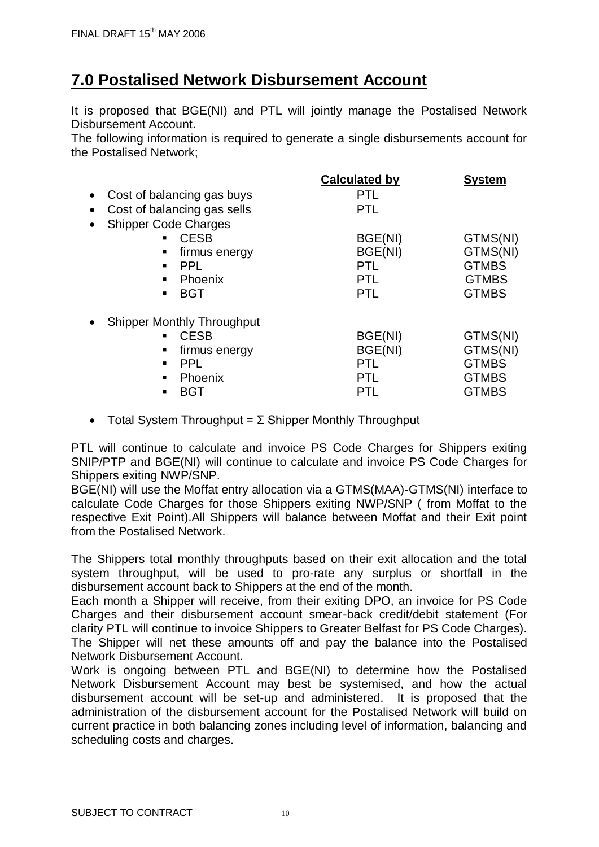## **7.0 Postalised Network Disbursement Account**

It is proposed that BGE(NI) and PTL will jointly manage the Postalised Network Disbursement Account.

The following information is required to generate a single disbursements account for the Postalised Network;

|                                                | <b>Calculated by</b> | <b>System</b> |
|------------------------------------------------|----------------------|---------------|
| Cost of balancing gas buys<br>$\bullet$        | <b>PTL</b>           |               |
| Cost of balancing gas sells<br>$\bullet$       | <b>PTL</b>           |               |
| <b>Shipper Code Charges</b><br>$\bullet$       |                      |               |
| <b>CESB</b><br>$\blacksquare$                  | BGE(NI)              | GTMS(NI)      |
| firmus energy                                  | BGE(NI)              | GTMS(NI)      |
| <b>PPL</b>                                     | <b>PTL</b>           | <b>GTMBS</b>  |
| Phoenix                                        | <b>PTL</b>           | <b>GTMBS</b>  |
| <b>BGT</b><br>$\blacksquare$                   | <b>PTL</b>           | <b>GTMBS</b>  |
| <b>Shipper Monthly Throughput</b><br>$\bullet$ |                      |               |
| <b>CESB</b>                                    | BGE(NI)              | GTMS(NI)      |
| firmus energy<br>٠                             | BGE(NI)              | GTMS(NI)      |
| <b>PPL</b>                                     | <b>PTL</b>           | <b>GTMBS</b>  |
| Phoenix                                        | <b>PTL</b>           | <b>GTMBS</b>  |
| <b>BGT</b>                                     | PTL                  | <b>GTMBS</b>  |

• Total System Throughput =  $\Sigma$  Shipper Monthly Throughput

PTL will continue to calculate and invoice PS Code Charges for Shippers exiting SNIP/PTP and BGE(NI) will continue to calculate and invoice PS Code Charges for Shippers exiting NWP/SNP.

BGE(NI) will use the Moffat entry allocation via a GTMS(MAA)-GTMS(NI) interface to calculate Code Charges for those Shippers exiting NWP/SNP ( from Moffat to the respective Exit Point).All Shippers will balance between Moffat and their Exit point from the Postalised Network.

The Shippers total monthly throughputs based on their exit allocation and the total system throughput, will be used to pro-rate any surplus or shortfall in the disbursement account back to Shippers at the end of the month.

Each month a Shipper will receive, from their exiting DPO, an invoice for PS Code Charges and their disbursement account smear-back credit/debit statement (For clarity PTL will continue to invoice Shippers to Greater Belfast for PS Code Charges). The Shipper will net these amounts off and pay the balance into the Postalised Network Disbursement Account.

Work is ongoing between PTL and BGE(NI) to determine how the Postalised Network Disbursement Account may best be systemised, and how the actual disbursement account will be set-up and administered. It is proposed that the administration of the disbursement account for the Postalised Network will build on current practice in both balancing zones including level of information, balancing and scheduling costs and charges.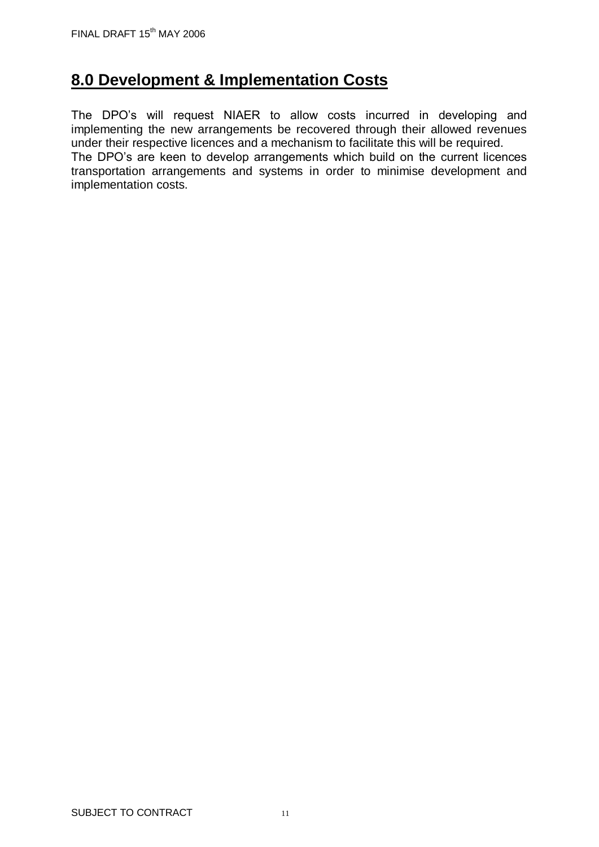## **8.0 Development & Implementation Costs**

The DPO's will request NIAER to allow costs incurred in developing and implementing the new arrangements be recovered through their allowed revenues under their respective licences and a mechanism to facilitate this will be required. The DPO's are keen to develop arrangements which build on the current licences transportation arrangements and systems in order to minimise development and implementation costs.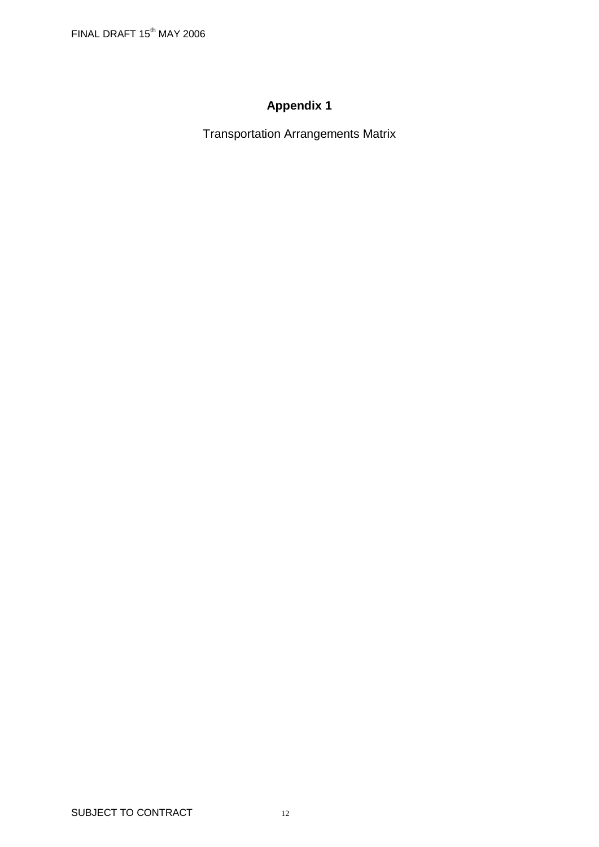## **Appendix 1**

Transportation Arrangements Matrix